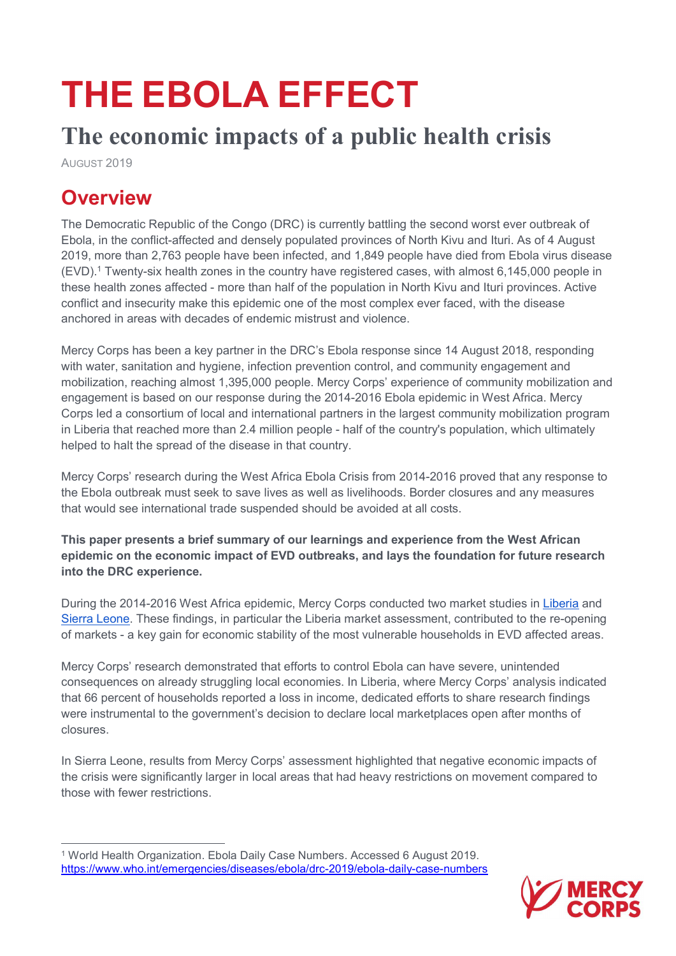# THE EBOLA EFFECT

# The economic impacts of a public health crisis

AUGUST 2019

 $\overline{a}$ 

# **Overview**

The Democratic Republic of the Congo (DRC) is currently battling the second worst ever outbreak of Ebola, in the conflict-affected and densely populated provinces of North Kivu and Ituri. As of 4 August 2019, more than 2,763 people have been infected, and 1,849 people have died from Ebola virus disease (EVD).<sup>1</sup> Twenty-six health zones in the country have registered cases, with almost 6,145,000 people in these health zones affected - more than half of the population in North Kivu and Ituri provinces. Active conflict and insecurity make this epidemic one of the most complex ever faced, with the disease anchored in areas with decades of endemic mistrust and violence.

Mercy Corps has been a key partner in the DRC's Ebola response since 14 August 2018, responding with water, sanitation and hygiene, infection prevention control, and community engagement and mobilization, reaching almost 1,395,000 people. Mercy Corps' experience of community mobilization and engagement is based on our response during the 2014-2016 Ebola epidemic in West Africa. Mercy Corps led a consortium of local and international partners in the largest community mobilization program in Liberia that reached more than 2.4 million people - half of the country's population, which ultimately helped to halt the spread of the disease in that country.

Mercy Corps' research during the West Africa Ebola Crisis from 2014-2016 proved that any response to the Ebola outbreak must seek to save lives as well as livelihoods. Border closures and any measures that would see international trade suspended should be avoided at all costs.

This paper presents a brief summary of our learnings and experience from the West African epidemic on the economic impact of EVD outbreaks, and lays the foundation for future research into the DRC experience.

During the 2014-2016 West Africa epidemic, Mercy Corps conducted two market studies in Liberia and Sierra Leone. These findings, in particular the Liberia market assessment, contributed to the re-opening of markets - a key gain for economic stability of the most vulnerable households in EVD affected areas.

Mercy Corps' research demonstrated that efforts to control Ebola can have severe, unintended consequences on already struggling local economies. In Liberia, where Mercy Corps' analysis indicated that 66 percent of households reported a loss in income, dedicated efforts to share research findings were instrumental to the government's decision to declare local marketplaces open after months of closures.

In Sierra Leone, results from Mercy Corps' assessment highlighted that negative economic impacts of the crisis were significantly larger in local areas that had heavy restrictions on movement compared to those with fewer restrictions.

<sup>1</sup> World Health Organization. Ebola Daily Case Numbers. Accessed 6 August 2019. https://www.who.int/emergencies/diseases/ebola/drc-2019/ebola-daily-case-numbers

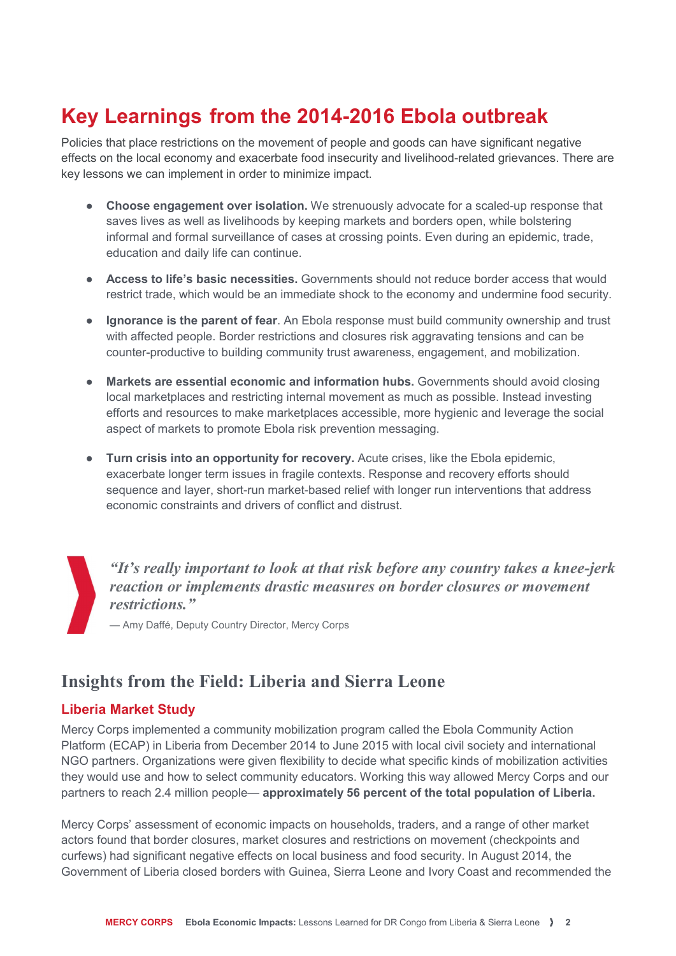## Key Learnings from the 2014-2016 Ebola outbreak

Policies that place restrictions on the movement of people and goods can have significant negative effects on the local economy and exacerbate food insecurity and livelihood-related grievances. There are key lessons we can implement in order to minimize impact.

- Choose engagement over isolation. We strenuously advocate for a scaled-up response that saves lives as well as livelihoods by keeping markets and borders open, while bolstering informal and formal surveillance of cases at crossing points. Even during an epidemic, trade, education and daily life can continue.
- Access to life's basic necessities. Governments should not reduce border access that would restrict trade, which would be an immediate shock to the economy and undermine food security.
- Ignorance is the parent of fear. An Ebola response must build community ownership and trust with affected people. Border restrictions and closures risk aggravating tensions and can be counter-productive to building community trust awareness, engagement, and mobilization.
- Markets are essential economic and information hubs. Governments should avoid closing local marketplaces and restricting internal movement as much as possible. Instead investing efforts and resources to make marketplaces accessible, more hygienic and leverage the social aspect of markets to promote Ebola risk prevention messaging.
- Turn crisis into an opportunity for recovery. Acute crises, like the Ebola epidemic, exacerbate longer term issues in fragile contexts. Response and recovery efforts should sequence and layer, short-run market-based relief with longer run interventions that address economic constraints and drivers of conflict and distrust.

"It's really important to look at that risk before any country takes a knee-jerk reaction or implements drastic measures on border closures or movement restrictions."

— Amy Daffé, Deputy Country Director, Mercy Corps

### Insights from the Field: Liberia and Sierra Leone

#### Liberia Market Study

Mercy Corps implemented a community mobilization program called the Ebola Community Action Platform (ECAP) in Liberia from December 2014 to June 2015 with local civil society and international NGO partners. Organizations were given flexibility to decide what specific kinds of mobilization activities they would use and how to select community educators. Working this way allowed Mercy Corps and our partners to reach 2.4 million people— approximately 56 percent of the total population of Liberia.

Mercy Corps' assessment of economic impacts on households, traders, and a range of other market actors found that border closures, market closures and restrictions on movement (checkpoints and curfews) had significant negative effects on local business and food security. In August 2014, the Government of Liberia closed borders with Guinea, Sierra Leone and Ivory Coast and recommended the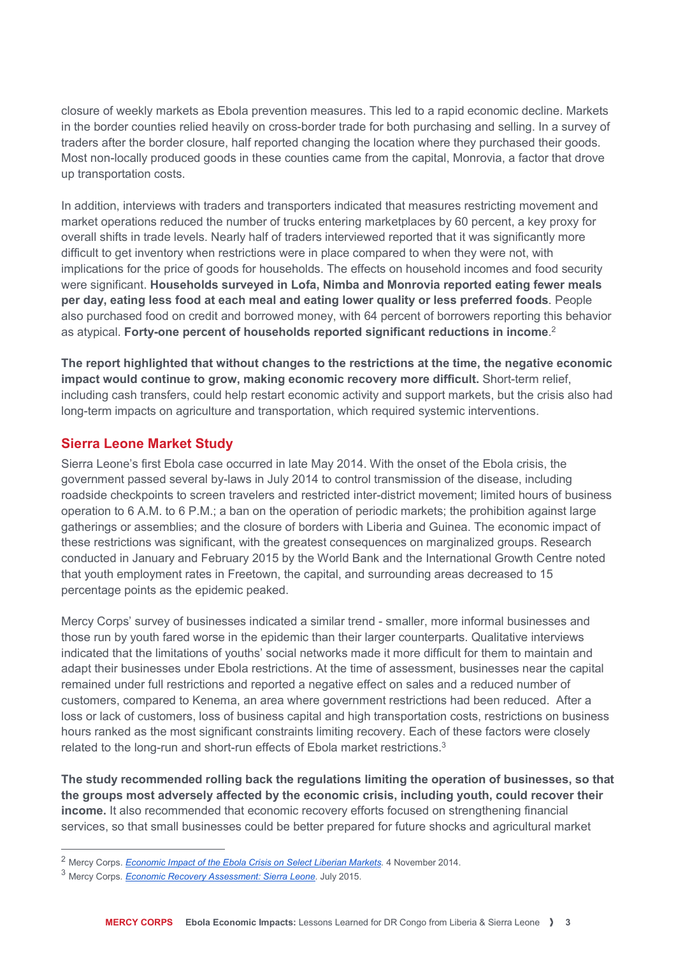closure of weekly markets as Ebola prevention measures. This led to a rapid economic decline. Markets in the border counties relied heavily on cross-border trade for both purchasing and selling. In a survey of traders after the border closure, half reported changing the location where they purchased their goods. Most non-locally produced goods in these counties came from the capital, Monrovia, a factor that drove up transportation costs.

In addition, interviews with traders and transporters indicated that measures restricting movement and market operations reduced the number of trucks entering marketplaces by 60 percent, a key proxy for overall shifts in trade levels. Nearly half of traders interviewed reported that it was significantly more difficult to get inventory when restrictions were in place compared to when they were not, with implications for the price of goods for households. The effects on household incomes and food security were significant. Households surveyed in Lofa, Nimba and Monrovia reported eating fewer meals per day, eating less food at each meal and eating lower quality or less preferred foods. People also purchased food on credit and borrowed money, with 64 percent of borrowers reporting this behavior as atypical. Forty-one percent of households reported significant reductions in income.<sup>2</sup>

The report highlighted that without changes to the restrictions at the time, the negative economic impact would continue to grow, making economic recovery more difficult. Short-term relief, including cash transfers, could help restart economic activity and support markets, but the crisis also had long-term impacts on agriculture and transportation, which required systemic interventions.

#### Sierra Leone Market Study

Sierra Leone's first Ebola case occurred in late May 2014. With the onset of the Ebola crisis, the government passed several by-laws in July 2014 to control transmission of the disease, including roadside checkpoints to screen travelers and restricted inter-district movement; limited hours of business operation to 6 A.M. to 6 P.M.; a ban on the operation of periodic markets; the prohibition against large gatherings or assemblies; and the closure of borders with Liberia and Guinea. The economic impact of these restrictions was significant, with the greatest consequences on marginalized groups. Research conducted in January and February 2015 by the World Bank and the International Growth Centre noted that youth employment rates in Freetown, the capital, and surrounding areas decreased to 15 percentage points as the epidemic peaked.

Mercy Corps' survey of businesses indicated a similar trend - smaller, more informal businesses and those run by youth fared worse in the epidemic than their larger counterparts. Qualitative interviews indicated that the limitations of youths' social networks made it more difficult for them to maintain and adapt their businesses under Ebola restrictions. At the time of assessment, businesses near the capital remained under full restrictions and reported a negative effect on sales and a reduced number of customers, compared to Kenema, an area where government restrictions had been reduced. After a loss or lack of customers, loss of business capital and high transportation costs, restrictions on business hours ranked as the most significant constraints limiting recovery. Each of these factors were closely related to the long-run and short-run effects of Ebola market restrictions.<sup>3</sup>

The study recommended rolling back the regulations limiting the operation of businesses, so that the groups most adversely affected by the economic crisis, including youth, could recover their income. It also recommended that economic recovery efforts focused on strengthening financial services, so that small businesses could be better prepared for future shocks and agricultural market

 $\overline{a}$ 

<sup>&</sup>lt;sup>2</sup> Mercy Corps. *Economic Impact of the Ebola Crisis on Select Liberian Markets*. 4 November 2014.

<sup>&</sup>lt;sup>3</sup> Mercy Corps. *Economic Recovery Assessment: Sierra Leone*. July 2015.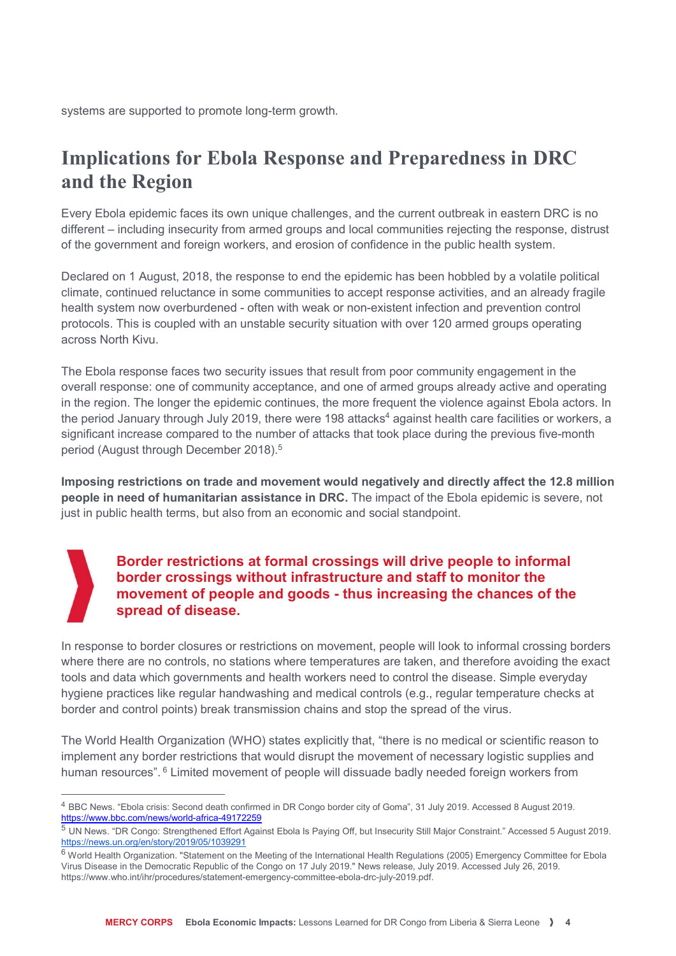systems are supported to promote long-term growth.

### Implications for Ebola Response and Preparedness in DRC and the Region

Every Ebola epidemic faces its own unique challenges, and the current outbreak in eastern DRC is no different – including insecurity from armed groups and local communities rejecting the response, distrust of the government and foreign workers, and erosion of confidence in the public health system.

Declared on 1 August, 2018, the response to end the epidemic has been hobbled by a volatile political climate, continued reluctance in some communities to accept response activities, and an already fragile health system now overburdened - often with weak or non-existent infection and prevention control protocols. This is coupled with an unstable security situation with over 120 armed groups operating across North Kivu.

The Ebola response faces two security issues that result from poor community engagement in the overall response: one of community acceptance, and one of armed groups already active and operating in the region. The longer the epidemic continues, the more frequent the violence against Ebola actors. In the period January through July 2019, there were 198 attacks<sup>4</sup> against health care facilities or workers, a significant increase compared to the number of attacks that took place during the previous five-month period (August through December 2018).<sup>5</sup>

Imposing restrictions on trade and movement would negatively and directly affect the 12.8 million people in need of humanitarian assistance in DRC. The impact of the Ebola epidemic is severe, not just in public health terms, but also from an economic and social standpoint.

#### Border restrictions at formal crossings will drive people to informal border crossings without infrastructure and staff to monitor the movement of people and goods - thus increasing the chances of the spread of disease.

In response to border closures or restrictions on movement, people will look to informal crossing borders where there are no controls, no stations where temperatures are taken, and therefore avoiding the exact tools and data which governments and health workers need to control the disease. Simple everyday hygiene practices like regular handwashing and medical controls (e.g., regular temperature checks at border and control points) break transmission chains and stop the spread of the virus.

The World Health Organization (WHO) states explicitly that, "there is no medical or scientific reason to implement any border restrictions that would disrupt the movement of necessary logistic supplies and human resources". <sup>6</sup> Limited movement of people will dissuade badly needed foreign workers from

 $\overline{a}$ 

<sup>4</sup> BBC News. "Ebola crisis: Second death confirmed in DR Congo border city of Goma", 31 July 2019. Accessed 8 August 2019. https://www.bbc.com/news/world-africa-49172259

<sup>5</sup> UN News. "DR Congo: Strengthened Effort Against Ebola Is Paying Off, but Insecurity Still Major Constraint." Accessed 5 August 2019. https://news.un.org/en/story/2019/05/1039291

 $^6$  World Health Organization. "Statement on the Meeting of the International Health Regulations (2005) Emergency Committee for Ebola Virus Disease in the Democratic Republic of the Congo on 17 July 2019." News release, July 2019. Accessed July 26, 2019. https://www.who.int/ihr/procedures/statement-emergency-committee-ebola-drc-july-2019.pdf.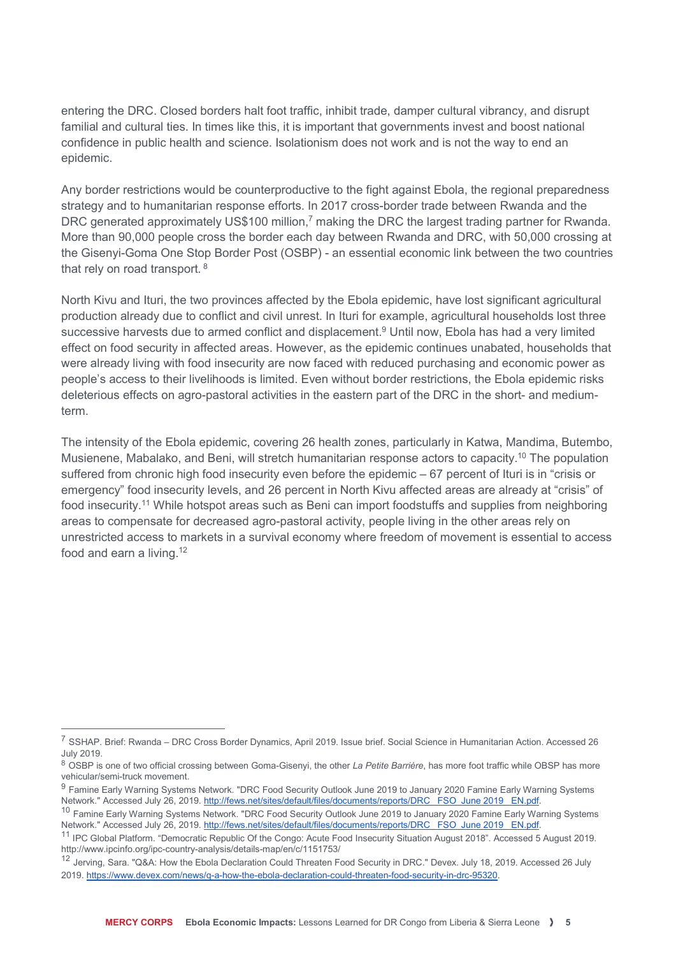entering the DRC. Closed borders halt foot traffic, inhibit trade, damper cultural vibrancy, and disrupt familial and cultural ties. In times like this, it is important that governments invest and boost national confidence in public health and science. Isolationism does not work and is not the way to end an epidemic.

Any border restrictions would be counterproductive to the fight against Ebola, the regional preparedness strategy and to humanitarian response efforts. In 2017 cross-border trade between Rwanda and the DRC generated approximately US\$100 million,<sup>7</sup> making the DRC the largest trading partner for Rwanda. More than 90,000 people cross the border each day between Rwanda and DRC, with 50,000 crossing at the Gisenyi-Goma One Stop Border Post (OSBP) - an essential economic link between the two countries that rely on road transport. <sup>8</sup>

North Kivu and Ituri, the two provinces affected by the Ebola epidemic, have lost significant agricultural production already due to conflict and civil unrest. In Ituri for example, agricultural households lost three successive harvests due to armed conflict and displacement.<sup>9</sup> Until now, Ebola has had a very limited effect on food security in affected areas. However, as the epidemic continues unabated, households that were already living with food insecurity are now faced with reduced purchasing and economic power as people's access to their livelihoods is limited. Even without border restrictions, the Ebola epidemic risks deleterious effects on agro-pastoral activities in the eastern part of the DRC in the short- and mediumterm.

The intensity of the Ebola epidemic, covering 26 health zones, particularly in Katwa, Mandima, Butembo, Musienene, Mabalako, and Beni, will stretch humanitarian response actors to capacity.<sup>10</sup> The population suffered from chronic high food insecurity even before the epidemic – 67 percent of Ituri is in "crisis or emergency" food insecurity levels, and 26 percent in North Kivu affected areas are already at "crisis" of food insecurity.<sup>11</sup> While hotspot areas such as Beni can import foodstuffs and supplies from neighboring areas to compensate for decreased agro-pastoral activity, people living in the other areas rely on unrestricted access to markets in a survival economy where freedom of movement is essential to access food and earn a living.<sup>12</sup>

 $\overline{a}$ 

<sup>7</sup> SSHAP. Brief: Rwanda – DRC Cross Border Dynamics, April 2019. Issue brief. Social Science in Humanitarian Action. Accessed 26 July 2019.

<sup>&</sup>lt;sup>8</sup> OSBP is one of two official crossing between Goma-Gisenyi, the other La Petite Barrière, has more foot traffic while OBSP has more vehicular/semi-truck movement.

<sup>&</sup>lt;sup>9</sup> Famine Early Warning Systems Network. "DRC Food Security Outlook June 2019 to January 2020 Famine Early Warning Systems Network." Accessed July 26, 2019. http://fews.net/sites/default/files/documents/reports/DRC\_ FSO\_June 2019\_ EN.pdf.

<sup>&</sup>lt;sup>10</sup> Famine Early Warning Systems Network. "DRC Food Security Outlook June 2019 to January 2020 Famine Early Warning Systems Network." Accessed July 26, 2019. http://fews.net/sites/default/files/documents/reports/DRC\_ FSO\_June 2019\_ EN.pdf.

<sup>&</sup>lt;sup>11</sup> IPC Global Platform. "Democratic Republic Of the Congo: Acute Food Insecurity Situation August 2018". Accessed 5 August 2019. http://www.ipcinfo.org/ipc-country-analysis/details-map/en/c/1151753/

<sup>12</sup> Jerving, Sara. "Q&A: How the Ebola Declaration Could Threaten Food Security in DRC." Devex. July 18, 2019. Accessed 26 July 2019. https://www.devex.com/news/q-a-how-the-ebola-declaration-could-threaten-food-security-in-drc-95320.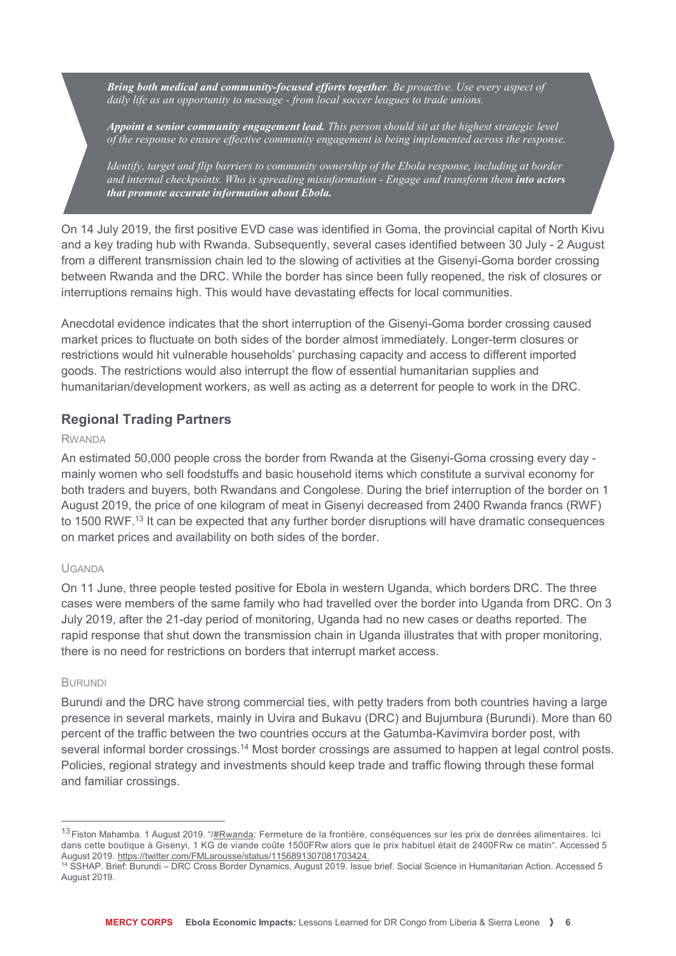Bring both medical and community-focused efforts together. Be proactive. Use every aspect of daily life as an opportunity to message - from local soccer leagues to trade unions.

Appoint a senior community engagement lead. This person should sit at the highest strategic level of the response to ensure effective community engagement is being implemented across the response.

Identify, target and flip barriers to community ownership of the Ebola response, including at border and internal checkpoints. Who is spreading misinformation - Engage and transform them into actors that promote accurate information about Ebola.

On 14 July 2019, the first positive EVD case was identified in Goma, the provincial capital of North Kivu and a key trading hub with Rwanda. Subsequently, several cases identified between 30 July - 2 August from a different transmission chain led to the slowing of activities at the Gisenyi-Goma border crossing between Rwanda and the DRC. While the border has since been fully reopened, the risk of closures or interruptions remains high. This would have devastating effects for local communities.

Anecdotal evidence indicates that the short interruption of the Gisenyi-Goma border crossing caused market prices to fluctuate on both sides of the border almost immediately. Longer-term closures or restrictions would hit vulnerable households' purchasing capacity and access to different imported goods. The restrictions would also interrupt the flow of essential humanitarian supplies and humanitarian/development workers, as well as acting as a deterrent for people to work in the DRC.

#### Regional Trading Partners

#### RWANDA

An estimated 50,000 people cross the border from Rwanda at the Gisenyi-Goma crossing every day mainly women who sell foodstuffs and basic household items which constitute a survival economy for both traders and buyers, both Rwandans and Congolese. During the brief interruption of the border on 1 August 2019, the price of one kilogram of meat in Gisenyi decreased from 2400 Rwanda francs (RWF) to 1500 RWF.<sup>13</sup> It can be expected that any further border disruptions will have dramatic consequences on market prices and availability on both sides of the border.

#### UGANDA

On 11 June, three people tested positive for Ebola in western Uganda, which borders DRC. The three cases were members of the same family who had travelled over the border into Uganda from DRC. On 3 July 2019, after the 21-day period of monitoring, Uganda had no new cases or deaths reported. The rapid response that shut down the transmission chain in Uganda illustrates that with proper monitoring, there is no need for restrictions on borders that interrupt market access.

#### BURUNDI

 $\overline{a}$ 

Burundi and the DRC have strong commercial ties, with petty traders from both countries having a large presence in several markets, mainly in Uvira and Bukavu (DRC) and Bujumbura (Burundi). More than 60 percent of the traffic between the two countries occurs at the Gatumba-Kavimvira border post, with several informal border crossings.<sup>14</sup> Most border crossings are assumed to happen at legal control posts. Policies, regional strategy and investments should keep trade and traffic flowing through these formal and familiar crossings.

<sup>&</sup>lt;sup>13</sup> Fiston Mahamba. 1 August 2019. "/<u>#Rwanda</u>: Fermeture de la frontière, conséquences sur les prix de denrées alimentaires. Ici dans cette boutique à Gisenyi, 1 KG de viande coûte 1500FRw alors que le prix habituel était de 2400FRw ce matin". Accessed 5 August 2019. https://twitter.com/FMLarousse/status/1156891307081703424.

<sup>14</sup> SSHAP. Brief: Burundi – DRC Cross Border Dynamics, August 2019. Issue brief. Social Science in Humanitarian Action. Accessed 5 August 2019.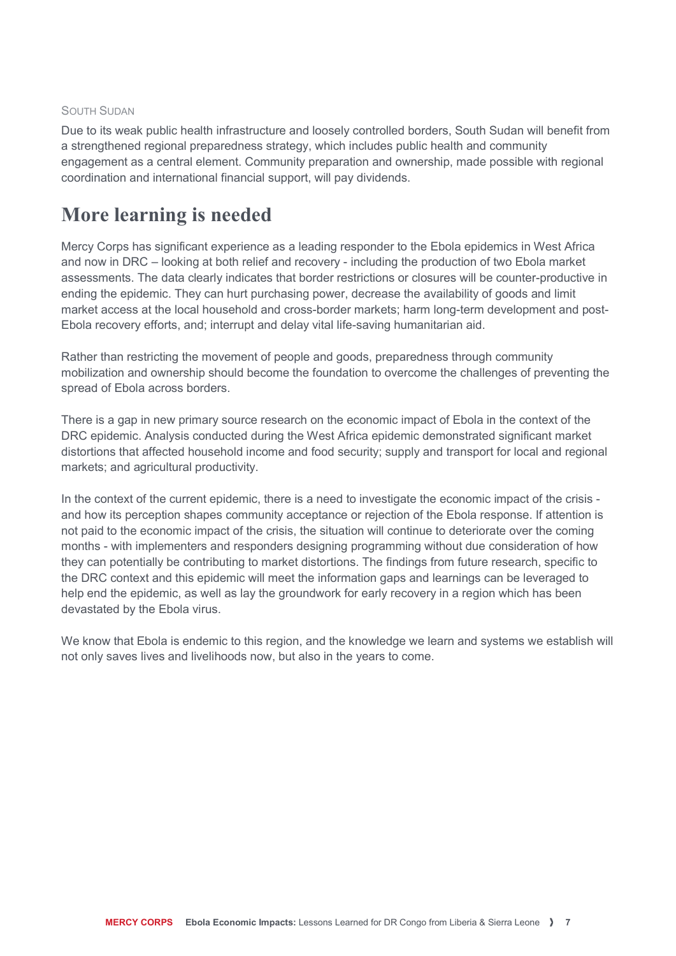#### SOUTH SUDAN

Due to its weak public health infrastructure and loosely controlled borders, South Sudan will benefit from a strengthened regional preparedness strategy, which includes public health and community engagement as a central element. Community preparation and ownership, made possible with regional coordination and international financial support, will pay dividends.

### More learning is needed

Mercy Corps has significant experience as a leading responder to the Ebola epidemics in West Africa and now in DRC – looking at both relief and recovery - including the production of two Ebola market assessments. The data clearly indicates that border restrictions or closures will be counter-productive in ending the epidemic. They can hurt purchasing power, decrease the availability of goods and limit market access at the local household and cross-border markets; harm long-term development and post-Ebola recovery efforts, and; interrupt and delay vital life-saving humanitarian aid.

Rather than restricting the movement of people and goods, preparedness through community mobilization and ownership should become the foundation to overcome the challenges of preventing the spread of Ebola across borders.

There is a gap in new primary source research on the economic impact of Ebola in the context of the DRC epidemic. Analysis conducted during the West Africa epidemic demonstrated significant market distortions that affected household income and food security; supply and transport for local and regional markets; and agricultural productivity.

In the context of the current epidemic, there is a need to investigate the economic impact of the crisis and how its perception shapes community acceptance or rejection of the Ebola response. If attention is not paid to the economic impact of the crisis, the situation will continue to deteriorate over the coming months - with implementers and responders designing programming without due consideration of how they can potentially be contributing to market distortions. The findings from future research, specific to the DRC context and this epidemic will meet the information gaps and learnings can be leveraged to help end the epidemic, as well as lay the groundwork for early recovery in a region which has been devastated by the Ebola virus.

We know that Ebola is endemic to this region, and the knowledge we learn and systems we establish will not only saves lives and livelihoods now, but also in the years to come.